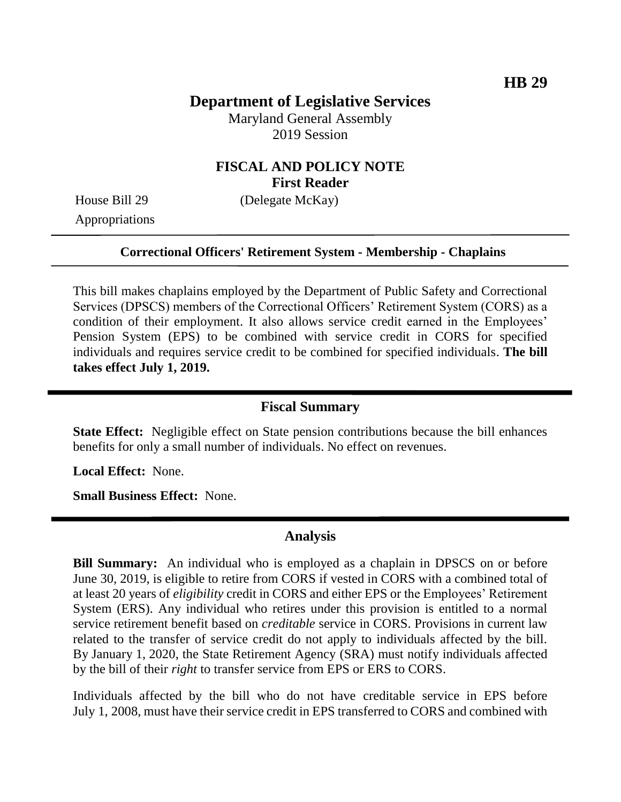# **Department of Legislative Services**

Maryland General Assembly 2019 Session

## **FISCAL AND POLICY NOTE First Reader**

Appropriations

House Bill 29 (Delegate McKay)

### **Correctional Officers' Retirement System - Membership - Chaplains**

This bill makes chaplains employed by the Department of Public Safety and Correctional Services (DPSCS) members of the Correctional Officers' Retirement System (CORS) as a condition of their employment. It also allows service credit earned in the Employees' Pension System (EPS) to be combined with service credit in CORS for specified individuals and requires service credit to be combined for specified individuals. **The bill takes effect July 1, 2019.**

#### **Fiscal Summary**

**State Effect:** Negligible effect on State pension contributions because the bill enhances benefits for only a small number of individuals. No effect on revenues.

**Local Effect:** None.

**Small Business Effect:** None.

#### **Analysis**

**Bill Summary:** An individual who is employed as a chaplain in DPSCS on or before June 30, 2019, is eligible to retire from CORS if vested in CORS with a combined total of at least 20 years of *eligibility* credit in CORS and either EPS or the Employees' Retirement System (ERS). Any individual who retires under this provision is entitled to a normal service retirement benefit based on *creditable* service in CORS. Provisions in current law related to the transfer of service credit do not apply to individuals affected by the bill. By January 1, 2020, the State Retirement Agency (SRA) must notify individuals affected by the bill of their *right* to transfer service from EPS or ERS to CORS.

Individuals affected by the bill who do not have creditable service in EPS before July 1, 2008, must have their service credit in EPS transferred to CORS and combined with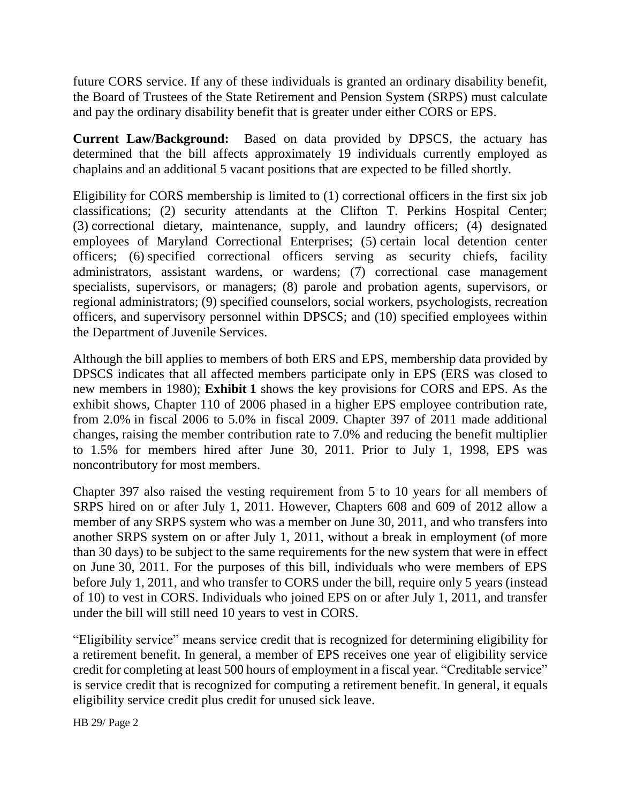future CORS service. If any of these individuals is granted an ordinary disability benefit, the Board of Trustees of the State Retirement and Pension System (SRPS) must calculate and pay the ordinary disability benefit that is greater under either CORS or EPS.

**Current Law/Background:** Based on data provided by DPSCS, the actuary has determined that the bill affects approximately 19 individuals currently employed as chaplains and an additional 5 vacant positions that are expected to be filled shortly.

Eligibility for CORS membership is limited to (1) correctional officers in the first six job classifications; (2) security attendants at the Clifton T. Perkins Hospital Center; (3) correctional dietary, maintenance, supply, and laundry officers; (4) designated employees of Maryland Correctional Enterprises; (5) certain local detention center officers; (6) specified correctional officers serving as security chiefs, facility administrators, assistant wardens, or wardens; (7) correctional case management specialists, supervisors, or managers; (8) parole and probation agents, supervisors, or regional administrators; (9) specified counselors, social workers, psychologists, recreation officers, and supervisory personnel within DPSCS; and (10) specified employees within the Department of Juvenile Services.

Although the bill applies to members of both ERS and EPS, membership data provided by DPSCS indicates that all affected members participate only in EPS (ERS was closed to new members in 1980); **Exhibit 1** shows the key provisions for CORS and EPS. As the exhibit shows, Chapter 110 of 2006 phased in a higher EPS employee contribution rate, from 2.0% in fiscal 2006 to 5.0% in fiscal 2009. Chapter 397 of 2011 made additional changes, raising the member contribution rate to 7.0% and reducing the benefit multiplier to 1.5% for members hired after June 30, 2011. Prior to July 1, 1998, EPS was noncontributory for most members.

Chapter 397 also raised the vesting requirement from 5 to 10 years for all members of SRPS hired on or after July 1, 2011. However, Chapters 608 and 609 of 2012 allow a member of any SRPS system who was a member on June 30, 2011, and who transfers into another SRPS system on or after July 1, 2011, without a break in employment (of more than 30 days) to be subject to the same requirements for the new system that were in effect on June 30, 2011. For the purposes of this bill, individuals who were members of EPS before July 1, 2011, and who transfer to CORS under the bill, require only 5 years (instead of 10) to vest in CORS. Individuals who joined EPS on or after July 1, 2011, and transfer under the bill will still need 10 years to vest in CORS.

"Eligibility service" means service credit that is recognized for determining eligibility for a retirement benefit. In general, a member of EPS receives one year of eligibility service credit for completing at least 500 hours of employment in a fiscal year. "Creditable service" is service credit that is recognized for computing a retirement benefit. In general, it equals eligibility service credit plus credit for unused sick leave.

HB 29/ Page 2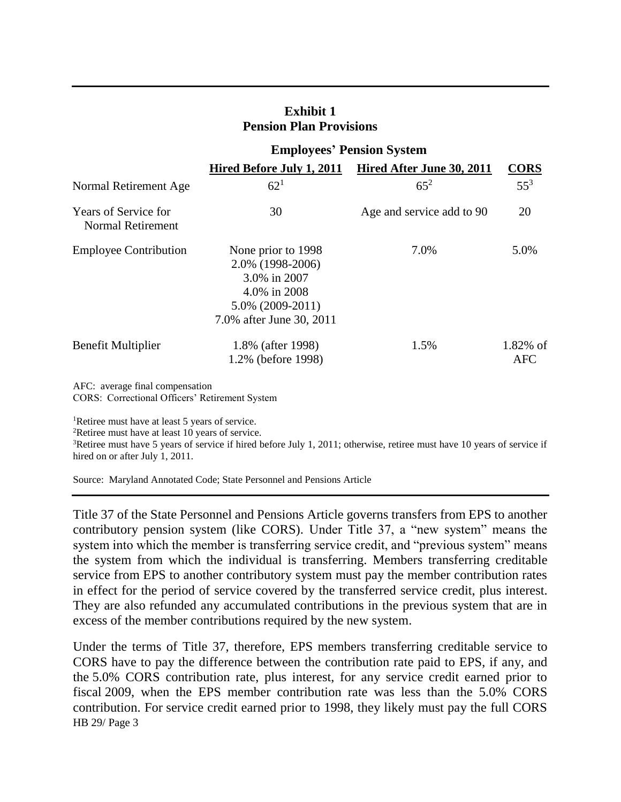|                                                         | <b>Employees' Pension System</b>                                                                                          |                           |                           |
|---------------------------------------------------------|---------------------------------------------------------------------------------------------------------------------------|---------------------------|---------------------------|
|                                                         | Hired Before July 1, 2011                                                                                                 | Hired After June 30, 2011 | <b>CORS</b>               |
| Normal Retirement Age                                   | $62^{1}$                                                                                                                  | $65^{2}$                  | $55^3$                    |
| <b>Years of Service for</b><br><b>Normal Retirement</b> | 30                                                                                                                        | Age and service add to 90 | 20                        |
| <b>Employee Contribution</b>                            | None prior to 1998<br>2.0% (1998-2006)<br>3.0% in 2007<br>4.0% in 2008<br>$5.0\%$ (2009-2011)<br>7.0% after June 30, 2011 | 7.0%                      | 5.0%                      |
| <b>Benefit Multiplier</b>                               | 1.8% (after 1998)<br>1.2% (before 1998)                                                                                   | 1.5%                      | $1.82\%$ of<br><b>AFC</b> |

**Exhibit 1 Pension Plan Provisions**

AFC: average final compensation CORS: Correctional Officers' Retirement System

<sup>1</sup>Retiree must have at least 5 years of service.

<sup>2</sup>Retiree must have at least 10 years of service.

<sup>3</sup>Retiree must have 5 years of service if hired before July 1, 2011; otherwise, retiree must have 10 years of service if hired on or after July 1, 2011.

Source: Maryland Annotated Code; State Personnel and Pensions Article

Title 37 of the State Personnel and Pensions Article governs transfers from EPS to another contributory pension system (like CORS). Under Title 37, a "new system" means the system into which the member is transferring service credit, and "previous system" means the system from which the individual is transferring. Members transferring creditable service from EPS to another contributory system must pay the member contribution rates in effect for the period of service covered by the transferred service credit, plus interest. They are also refunded any accumulated contributions in the previous system that are in excess of the member contributions required by the new system.

HB 29/ Page 3 Under the terms of Title 37, therefore, EPS members transferring creditable service to CORS have to pay the difference between the contribution rate paid to EPS, if any, and the 5.0% CORS contribution rate, plus interest, for any service credit earned prior to fiscal 2009, when the EPS member contribution rate was less than the 5.0% CORS contribution. For service credit earned prior to 1998, they likely must pay the full CORS